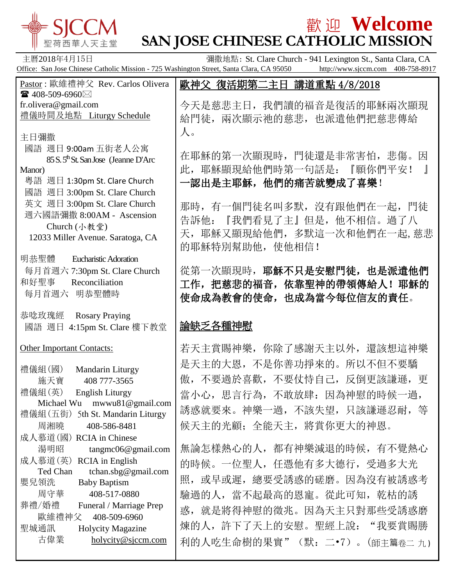

# 歡 迎 **Welcome**

**SAN JOSE CHINESE CATHOLIC MISSION** 主曆2018年4月15日 彌撒地點: St. Clare Church - 941 Lexington St., Santa Clara, CA Office: San Jose Chinese Catholic Mission - 725 Washington Street, Santa Clara, CA 95050 http://www.sjccm.com 408-758-8917 Pastor : 歐維禮神父 Rev. Carlos Olivera  $\bullet$  408-509-6960 $\boxtimes$ fr.olivera@gmail.com 禮儀時間及地點 Liturgy Schedule 主日彌撒 國語 週日 9:00am 五街老人公寓 85 S. 5<sup>th</sup> St. San Jose (Jeanne D'Arc) Manor) 粵語 週日 1:30pm St. Clare Church 國語 週日 3:00pm St. Clare Church 英文 週日 3:00pm St. Clare Church 週六國語彌撒 8:00AM - Ascension Church (小教堂) 12033 Miller Avenue. Saratoga, CA 明恭聖體 Eucharistic Adoration 每月首週六 7:30pm St. Clare Church 和好聖事 Reconciliation 每月首週六 明恭聖體時 恭唸玫瑰經 Rosary Praying 國語 週日 4:15pm St. Clare 樓下教堂 Other Important Contacts: 禮儀組(國) Mandarin Liturgy 施天寶 408 777-3565 禮儀組(英) English Liturgy Michael Wu mwwu81@gmail.com 禮儀組(五街) 5th St. Mandarin Liturgy 周湘曉 408-586-8481 成人慕道(國) RCIA in Chinese 湯明昭 tangmc06@gmail.com 成人慕道(英) RCIA in English Ted Chan tchan.sbg@gmail.com 嬰兒領洗 Baby Baptism 周守華 408-517-0880 葬禮/婚禮 Funeral / Marriage Prep 歐維禮神父 408-509-6960 聖城通訊 Holycity Magazine 古偉業 [holycity@sjccm.com](mailto:holycity@sjccm.com) 歐神父 復活期第二主日 講道重點 4/8/2018  $\overline{\phantom{a}}$ 今天是慈悲主日,我們讀的福音是復活的耶穌兩次顯現 給門徒,兩次顯示祂的慈悲,也派遣他們把慈悲傳給 人。 在耶穌的第一次顯現時,門徒還是非常害怕,悲傷。因 此,耶穌顯現給他們時第一句話是:『願你們平安! 』 一認出是主耶穌,他們的痛苦就變成了喜樂! 那時,有一個門徒名叫多默,沒有跟他們在一起,門徒 告訴他:『我們看見了主』但是,他不相信。過了八 天,耶穌又顯現給他們,多默這一次和他們在一起,慈悲 的耶穌特別幫助他,使他相信! 從第一次顯現時,耶穌不只是安慰門徒,也是派遣他們 工作,把慈悲的福音,依靠聖神的帶領傳給人!耶穌的 使命成為教會的使命,也成為當今每位信友的責任。 論缺乏各種神慰 若天主賞賜神樂,你除了感謝天主以外,還該想這神樂 是天主的大恩,不是你善功掙來的。所以不但不要驕 傲,不要過於喜歡,不要仗恃自己,反倒更該謙遜,更 當小心,思言行為,不敢放肆:因為神慰的時候一過, 誘惑就要來。神樂一過,不該失望,只該謙遜忍耐,等 候天主的光顧;全能天主,將賞你更大的神恩。 無論怎樣熱心的人,都有神樂減退的時候,有不覺熱心 的時候。一位聖人,任憑他有多大德行,受過多大光 照,或早或遲,總要受誘惑的磋磨。因為沒有被誘惑考 驗過的人,當不起最高的恩寵。從此可知,乾枯的誘 惑,就是將得神慰的徵兆。因為天主只對那些受誘惑磨 煉的人,許下了天上的安慰。聖經上說: "我要賞賜勝 利的人吃生命樹的果實"(默:二•7)。(師主篇卷二九)